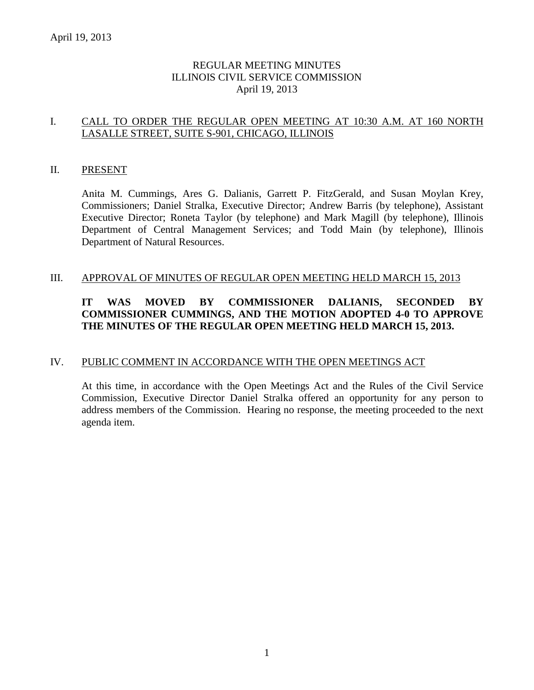# REGULAR MEETING MINUTES ILLINOIS CIVIL SERVICE COMMISSION April 19, 2013

# I. CALL TO ORDER THE REGULAR OPEN MEETING AT 10:30 A.M. AT 160 NORTH LASALLE STREET, SUITE S-901, CHICAGO, ILLINOIS

#### II. PRESENT

Anita M. Cummings, Ares G. Dalianis, Garrett P. FitzGerald, and Susan Moylan Krey, Commissioners; Daniel Stralka, Executive Director; Andrew Barris (by telephone), Assistant Executive Director; Roneta Taylor (by telephone) and Mark Magill (by telephone), Illinois Department of Central Management Services; and Todd Main (by telephone), Illinois Department of Natural Resources.

#### III. APPROVAL OF MINUTES OF REGULAR OPEN MEETING HELD MARCH 15, 2013

# **IT WAS MOVED BY COMMISSIONER DALIANIS, SECONDED BY COMMISSIONER CUMMINGS, AND THE MOTION ADOPTED 4-0 TO APPROVE THE MINUTES OF THE REGULAR OPEN MEETING HELD MARCH 15, 2013.**

# IV. PUBLIC COMMENT IN ACCORDANCE WITH THE OPEN MEETINGS ACT

At this time, in accordance with the Open Meetings Act and the Rules of the Civil Service Commission, Executive Director Daniel Stralka offered an opportunity for any person to address members of the Commission. Hearing no response, the meeting proceeded to the next agenda item.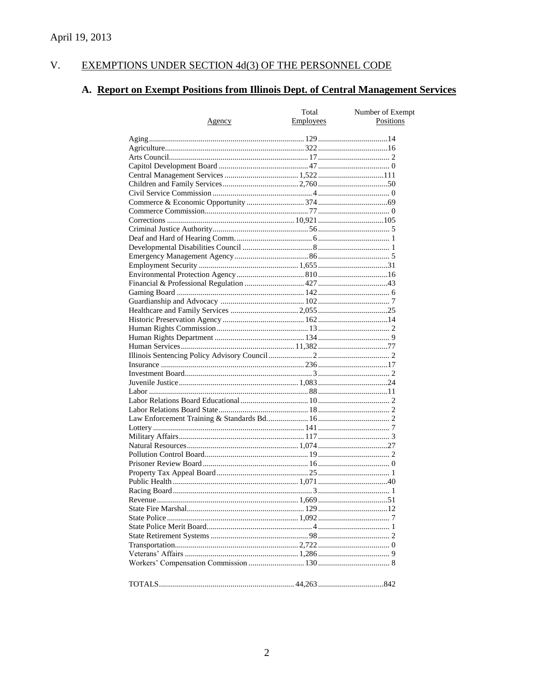#### $V<sub>r</sub>$ EXEMPTIONS UNDER SECTION 4d(3) OF THE PERSONNEL CODE

# A. Report on Exempt Positions from Illinois Dept. of Central Management Services

|               | Total     | Number of Exempt |
|---------------|-----------|------------------|
| <u>Agency</u> | Employees | Positions        |
|               |           |                  |
|               |           |                  |
|               |           |                  |
|               |           |                  |
|               |           |                  |
|               |           |                  |
|               |           |                  |
|               |           |                  |
|               |           |                  |
|               |           |                  |
|               |           |                  |
|               |           |                  |
|               |           |                  |
|               |           |                  |
|               |           |                  |
|               |           |                  |
|               |           |                  |
|               |           |                  |
|               |           |                  |
|               |           |                  |
|               |           |                  |
|               |           |                  |
|               |           |                  |
|               |           |                  |
|               |           |                  |
|               |           |                  |
|               |           |                  |
|               |           |                  |
|               |           |                  |
|               |           |                  |
|               |           |                  |
|               |           |                  |
|               |           |                  |
|               |           |                  |
|               |           |                  |
|               |           |                  |
|               |           |                  |
|               |           |                  |
|               |           |                  |
|               |           |                  |
|               |           |                  |
|               |           |                  |
|               |           |                  |
|               |           |                  |
|               |           |                  |
|               |           |                  |
|               |           |                  |
|               |           |                  |
|               |           |                  |
|               |           |                  |
|               |           |                  |
|               |           |                  |
|               |           |                  |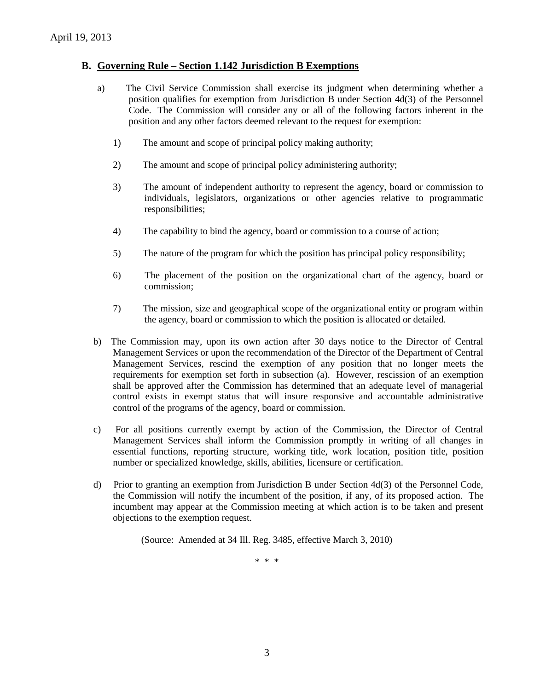#### **B. Governing Rule – Section 1.142 Jurisdiction B Exemptions**

- a) The Civil Service Commission shall exercise its judgment when determining whether a position qualifies for exemption from Jurisdiction B under Section 4d(3) of the Personnel Code. The Commission will consider any or all of the following factors inherent in the position and any other factors deemed relevant to the request for exemption:
	- 1) The amount and scope of principal policy making authority;
	- 2) The amount and scope of principal policy administering authority;
	- 3) The amount of independent authority to represent the agency, board or commission to individuals, legislators, organizations or other agencies relative to programmatic responsibilities;
	- 4) The capability to bind the agency, board or commission to a course of action;
	- 5) The nature of the program for which the position has principal policy responsibility;
	- 6) The placement of the position on the organizational chart of the agency, board or commission;
	- 7) The mission, size and geographical scope of the organizational entity or program within the agency, board or commission to which the position is allocated or detailed.
- b) The Commission may, upon its own action after 30 days notice to the Director of Central Management Services or upon the recommendation of the Director of the Department of Central Management Services, rescind the exemption of any position that no longer meets the requirements for exemption set forth in subsection (a). However, rescission of an exemption shall be approved after the Commission has determined that an adequate level of managerial control exists in exempt status that will insure responsive and accountable administrative control of the programs of the agency, board or commission.
- c) For all positions currently exempt by action of the Commission, the Director of Central Management Services shall inform the Commission promptly in writing of all changes in essential functions, reporting structure, working title, work location, position title, position number or specialized knowledge, skills, abilities, licensure or certification.
- d) Prior to granting an exemption from Jurisdiction B under Section 4d(3) of the Personnel Code, the Commission will notify the incumbent of the position, if any, of its proposed action. The incumbent may appear at the Commission meeting at which action is to be taken and present objections to the exemption request.

(Source: Amended at 34 Ill. Reg. 3485, effective March 3, 2010)

\* \* \*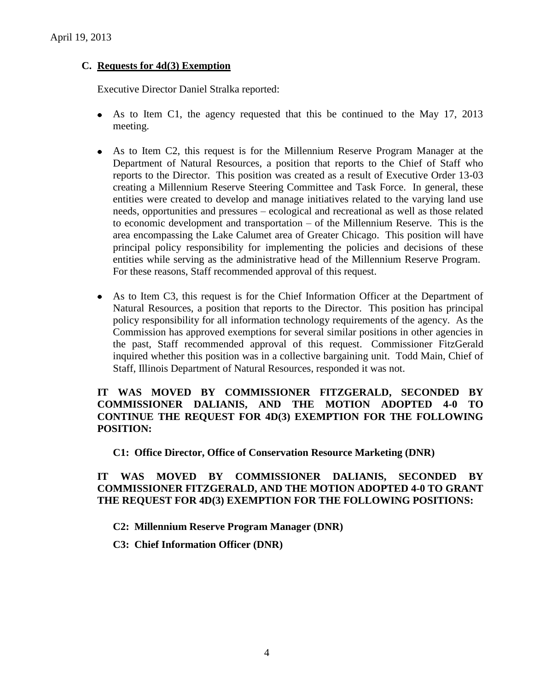# **C. Requests for 4d(3) Exemption**

Executive Director Daniel Stralka reported:

- As to Item C1, the agency requested that this be continued to the May 17, 2013 meeting.
- As to Item C2, this request is for the Millennium Reserve Program Manager at the  $\bullet$ Department of Natural Resources, a position that reports to the Chief of Staff who reports to the Director. This position was created as a result of Executive Order 13-03 creating a Millennium Reserve Steering Committee and Task Force. In general, these entities were created to develop and manage initiatives related to the varying land use needs, opportunities and pressures – ecological and recreational as well as those related to economic development and transportation – of the Millennium Reserve. This is the area encompassing the Lake Calumet area of Greater Chicago. This position will have principal policy responsibility for implementing the policies and decisions of these entities while serving as the administrative head of the Millennium Reserve Program. For these reasons, Staff recommended approval of this request.
- As to Item C3, this request is for the Chief Information Officer at the Department of Natural Resources, a position that reports to the Director. This position has principal policy responsibility for all information technology requirements of the agency. As the Commission has approved exemptions for several similar positions in other agencies in the past, Staff recommended approval of this request. Commissioner FitzGerald inquired whether this position was in a collective bargaining unit. Todd Main, Chief of Staff, Illinois Department of Natural Resources, responded it was not.

# **IT WAS MOVED BY COMMISSIONER FITZGERALD, SECONDED BY COMMISSIONER DALIANIS, AND THE MOTION ADOPTED 4-0 TO CONTINUE THE REQUEST FOR 4D(3) EXEMPTION FOR THE FOLLOWING POSITION:**

#### **C1: Office Director, Office of Conservation Resource Marketing (DNR)**

# **IT WAS MOVED BY COMMISSIONER DALIANIS, SECONDED BY COMMISSIONER FITZGERALD, AND THE MOTION ADOPTED 4-0 TO GRANT THE REQUEST FOR 4D(3) EXEMPTION FOR THE FOLLOWING POSITIONS:**

#### **C2: Millennium Reserve Program Manager (DNR)**

**C3: Chief Information Officer (DNR)**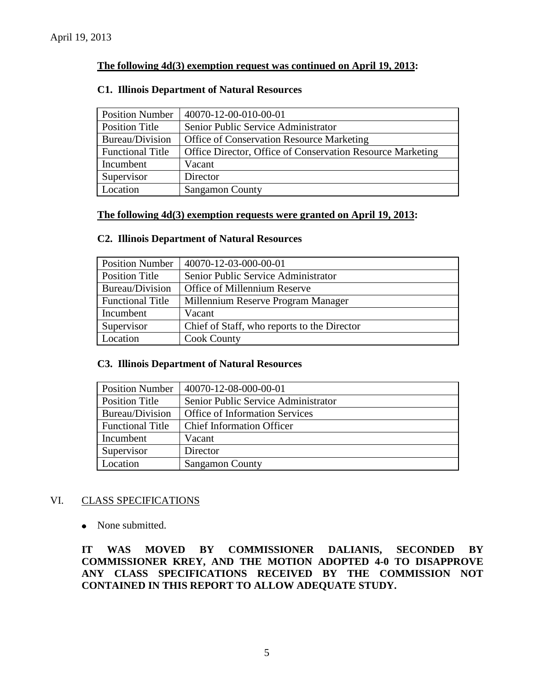# **The following 4d(3) exemption request was continued on April 19, 2013:**

#### **C1. Illinois Department of Natural Resources**

| <b>Position Number</b>  | 40070-12-00-010-00-01                                      |
|-------------------------|------------------------------------------------------------|
| Position Title          | Senior Public Service Administrator                        |
| Bureau/Division         | <b>Office of Conservation Resource Marketing</b>           |
| <b>Functional Title</b> | Office Director, Office of Conservation Resource Marketing |
| Incumbent               | Vacant                                                     |
| Supervisor              | Director                                                   |
| Location                | <b>Sangamon County</b>                                     |

#### **The following 4d(3) exemption requests were granted on April 19, 2013:**

#### **C2. Illinois Department of Natural Resources**

| <b>Position Number</b>  | 40070-12-03-000-00-01                       |
|-------------------------|---------------------------------------------|
| <b>Position Title</b>   | Senior Public Service Administrator         |
| Bureau/Division         | Office of Millennium Reserve                |
| <b>Functional Title</b> | Millennium Reserve Program Manager          |
| Incumbent               | Vacant                                      |
| Supervisor              | Chief of Staff, who reports to the Director |
| Location                | <b>Cook County</b>                          |

#### **C3. Illinois Department of Natural Resources**

| <b>Position Number</b>  | 40070-12-08-000-00-01                 |
|-------------------------|---------------------------------------|
| <b>Position Title</b>   | Senior Public Service Administrator   |
| Bureau/Division         | <b>Office of Information Services</b> |
| <b>Functional Title</b> | <b>Chief Information Officer</b>      |
| Incumbent               | Vacant                                |
| Supervisor              | Director                              |
| Location                | <b>Sangamon County</b>                |

#### VI. CLASS SPECIFICATIONS

• None submitted.

**IT WAS MOVED BY COMMISSIONER DALIANIS, SECONDED BY COMMISSIONER KREY, AND THE MOTION ADOPTED 4-0 TO DISAPPROVE ANY CLASS SPECIFICATIONS RECEIVED BY THE COMMISSION NOT CONTAINED IN THIS REPORT TO ALLOW ADEQUATE STUDY.**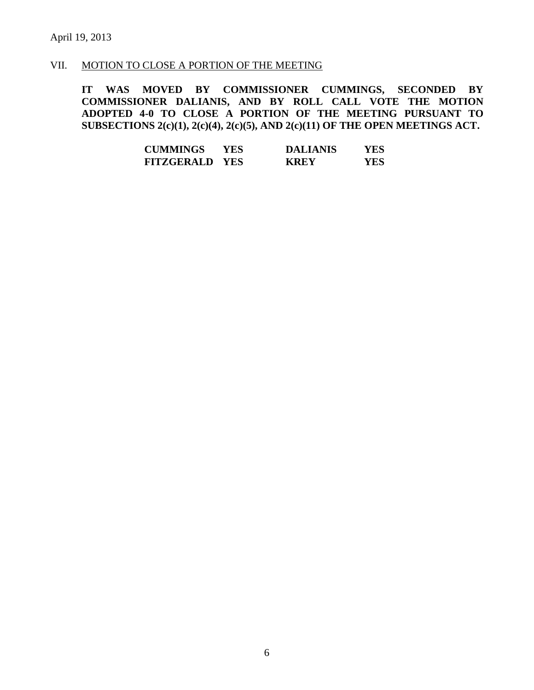# VII. MOTION TO CLOSE A PORTION OF THE MEETING

**IT WAS MOVED BY COMMISSIONER CUMMINGS, SECONDED BY COMMISSIONER DALIANIS, AND BY ROLL CALL VOTE THE MOTION ADOPTED 4-0 TO CLOSE A PORTION OF THE MEETING PURSUANT TO SUBSECTIONS 2(c)(1), 2(c)(4), 2(c)(5), AND 2(c)(11) OF THE OPEN MEETINGS ACT.**

| <b>CUMMINGS</b>       | YES. | <b>DALIANIS</b> | YES |
|-----------------------|------|-----------------|-----|
| <b>FITZGERALD YES</b> |      | <b>KREY</b>     | YES |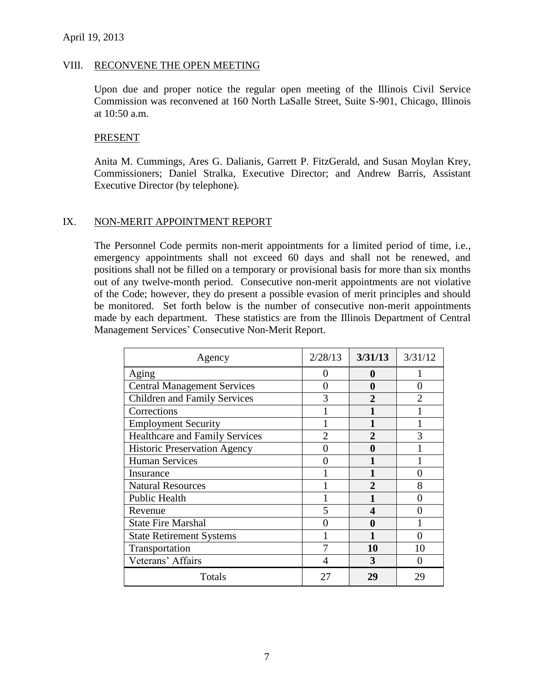#### VIII. RECONVENE THE OPEN MEETING

Upon due and proper notice the regular open meeting of the Illinois Civil Service Commission was reconvened at 160 North LaSalle Street, Suite S-901, Chicago, Illinois at 10:50 a.m.

#### PRESENT

Anita M. Cummings, Ares G. Dalianis, Garrett P. FitzGerald, and Susan Moylan Krey, Commissioners; Daniel Stralka, Executive Director; and Andrew Barris, Assistant Executive Director (by telephone).

#### IX. NON-MERIT APPOINTMENT REPORT

The Personnel Code permits non-merit appointments for a limited period of time, i.e., emergency appointments shall not exceed 60 days and shall not be renewed, and positions shall not be filled on a temporary or provisional basis for more than six months out of any twelve-month period. Consecutive non-merit appointments are not violative of the Code; however, they do present a possible evasion of merit principles and should be monitored. Set forth below is the number of consecutive non-merit appointments made by each department. These statistics are from the Illinois Department of Central Management Services' Consecutive Non-Merit Report.

| Agency                                | 2/28/13                     | 3/31/13        | 3/31/12 |
|---------------------------------------|-----------------------------|----------------|---------|
| Aging                                 | 0                           | 0              |         |
| <b>Central Management Services</b>    | 0                           | 0              | 0       |
| <b>Children and Family Services</b>   | 3                           | $\mathbf 2$    |         |
| Corrections                           |                             |                |         |
| <b>Employment Security</b>            |                             |                |         |
| <b>Healthcare and Family Services</b> | $\mathcal{D}_{\mathcal{A}}$ | $\mathbf{2}$   | 3       |
| <b>Historic Preservation Agency</b>   |                             | 0              |         |
| <b>Human Services</b>                 |                             |                |         |
| Insurance                             |                             |                |         |
| <b>Natural Resources</b>              |                             | $\mathfrak{D}$ | 8       |
| <b>Public Health</b>                  |                             |                |         |
| Revenue                               | 5                           | 4              |         |
| <b>State Fire Marshal</b>             |                             | 0              |         |
| <b>State Retirement Systems</b>       |                             |                |         |
| Transportation                        |                             | 10             | 10      |
| Veterans' Affairs                     |                             | 3              |         |
| Totals                                | 27                          | 29             | 29      |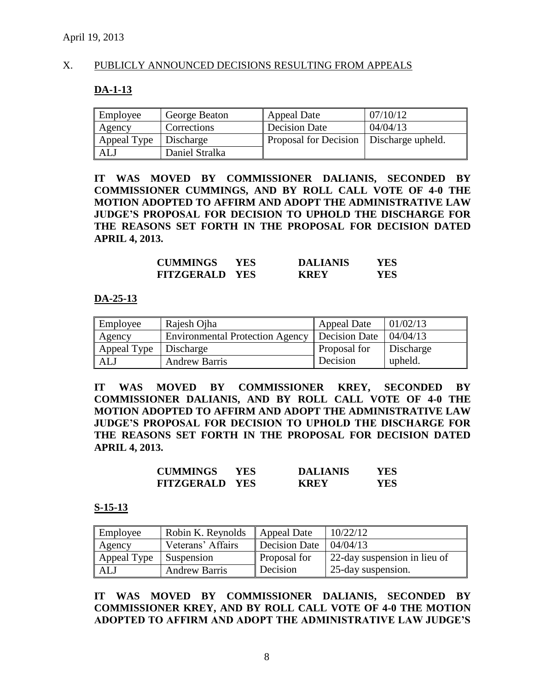### X. PUBLICLY ANNOUNCED DECISIONS RESULTING FROM APPEALS

#### **DA-1-13**

| Employee                | George Beaton  | <b>Appeal Date</b>                        | 07/10/12 |
|-------------------------|----------------|-------------------------------------------|----------|
| Agency                  | Corrections    | Decision Date                             | 04/04/13 |
| Appeal Type   Discharge |                | Proposal for Decision   Discharge upheld. |          |
| ALJ                     | Daniel Stralka |                                           |          |

**IT WAS MOVED BY COMMISSIONER DALIANIS, SECONDED BY COMMISSIONER CUMMINGS, AND BY ROLL CALL VOTE OF 4-0 THE MOTION ADOPTED TO AFFIRM AND ADOPT THE ADMINISTRATIVE LAW JUDGE'S PROPOSAL FOR DECISION TO UPHOLD THE DISCHARGE FOR THE REASONS SET FORTH IN THE PROPOSAL FOR DECISION DATED APRIL 4, 2013.**

| <b>CUMMINGS</b>       | YES. | <b>DALIANIS</b> | YES. |
|-----------------------|------|-----------------|------|
| <b>FITZGERALD YES</b> |      | <b>KREY</b>     | YES. |

#### **DA-25-13**

| Employee                | Rajesh Ojha                                     | <b>Appeal Date</b> | 01/02/13  |
|-------------------------|-------------------------------------------------|--------------------|-----------|
| Agency                  | Environmental Protection Agency   Decision Date |                    | 04/04/13  |
| Appeal Type   Discharge |                                                 | Proposal for       | Discharge |
| ALJ                     | <b>Andrew Barris</b>                            | Decision           | upheld.   |

**IT WAS MOVED BY COMMISSIONER KREY, SECONDED BY COMMISSIONER DALIANIS, AND BY ROLL CALL VOTE OF 4-0 THE MOTION ADOPTED TO AFFIRM AND ADOPT THE ADMINISTRATIVE LAW JUDGE'S PROPOSAL FOR DECISION TO UPHOLD THE DISCHARGE FOR THE REASONS SET FORTH IN THE PROPOSAL FOR DECISION DATED APRIL 4, 2013.**

| <b>CUMMINGS</b>       | YES. | <b>DALIANIS</b> | YES. |
|-----------------------|------|-----------------|------|
| <b>FITZGERALD YES</b> |      | <b>KREY</b>     | YES. |

#### **S-15-13**

| Employee    | Robin K. Reynolds    | Appeal Date         | 10/22/12                     |
|-------------|----------------------|---------------------|------------------------------|
| Agency      | Veterans' Affairs    | Decision Date       | 04/04/13                     |
| Appeal Type | <b>Suspension</b>    | <b>Proposal for</b> | 22-day suspension in lieu of |
| ALJ         | <b>Andrew Barris</b> | Decision            | 25-day suspension.           |

**IT WAS MOVED BY COMMISSIONER DALIANIS, SECONDED BY COMMISSIONER KREY, AND BY ROLL CALL VOTE OF 4-0 THE MOTION ADOPTED TO AFFIRM AND ADOPT THE ADMINISTRATIVE LAW JUDGE'S**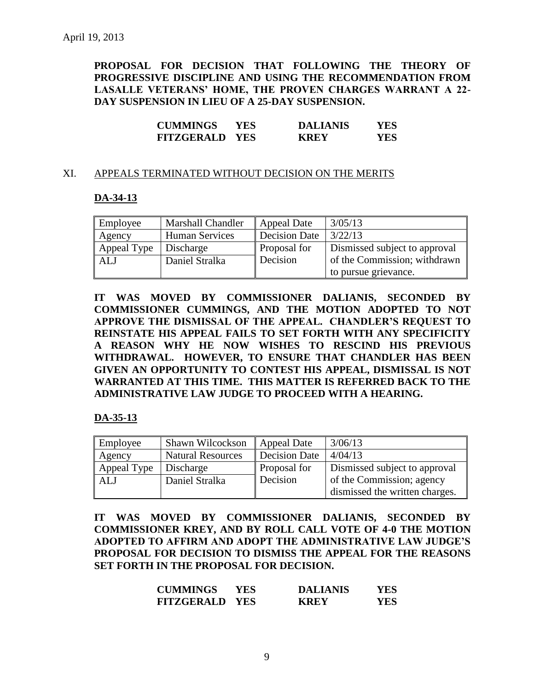**PROPOSAL FOR DECISION THAT FOLLOWING THE THEORY OF PROGRESSIVE DISCIPLINE AND USING THE RECOMMENDATION FROM LASALLE VETERANS' HOME, THE PROVEN CHARGES WARRANT A 22- DAY SUSPENSION IN LIEU OF A 25-DAY SUSPENSION.**

| <b>CUMMINGS</b>       | YES. | <b>DALIANIS</b> | YES |
|-----------------------|------|-----------------|-----|
| <b>FITZGERALD YES</b> |      | <b>KREY</b>     | YES |

#### XI. APPEALS TERMINATED WITHOUT DECISION ON THE MERITS

#### **DA-34-13**

| Employee    | <b>Marshall Chandler</b> | <b>Appeal Date</b> | 3/05/13                       |
|-------------|--------------------------|--------------------|-------------------------------|
| Agency      | <b>Human Services</b>    | Decision Date      | 3/22/13                       |
| Appeal Type | Discharge                | Proposal for       | Dismissed subject to approval |
| <b>ALJ</b>  | Daniel Stralka           | Decision           | of the Commission; withdrawn  |
|             |                          |                    | to pursue grievance.          |

**IT WAS MOVED BY COMMISSIONER DALIANIS, SECONDED BY COMMISSIONER CUMMINGS, AND THE MOTION ADOPTED TO NOT APPROVE THE DISMISSAL OF THE APPEAL. CHANDLER'S REQUEST TO REINSTATE HIS APPEAL FAILS TO SET FORTH WITH ANY SPECIFICITY A REASON WHY HE NOW WISHES TO RESCIND HIS PREVIOUS WITHDRAWAL. HOWEVER, TO ENSURE THAT CHANDLER HAS BEEN GIVEN AN OPPORTUNITY TO CONTEST HIS APPEAL, DISMISSAL IS NOT WARRANTED AT THIS TIME. THIS MATTER IS REFERRED BACK TO THE ADMINISTRATIVE LAW JUDGE TO PROCEED WITH A HEARING.**

#### **DA-35-13**

| Employee    | Shawn Wilcockson         | <b>Appeal Date</b>  | 3/06/13                        |  |
|-------------|--------------------------|---------------------|--------------------------------|--|
| Agency      | <b>Natural Resources</b> | Decision Date       | 4/04/13                        |  |
| Appeal Type | Discharge                | <b>Proposal for</b> | Dismissed subject to approval  |  |
| <b>ALJ</b>  | Daniel Stralka           | Decision            | of the Commission; agency      |  |
|             |                          |                     | dismissed the written charges. |  |

**IT WAS MOVED BY COMMISSIONER DALIANIS, SECONDED BY COMMISSIONER KREY, AND BY ROLL CALL VOTE OF 4-0 THE MOTION ADOPTED TO AFFIRM AND ADOPT THE ADMINISTRATIVE LAW JUDGE'S PROPOSAL FOR DECISION TO DISMISS THE APPEAL FOR THE REASONS SET FORTH IN THE PROPOSAL FOR DECISION.**

| <b>CUMMINGS</b>       | YES. | <b>DALIANIS</b> | YES |
|-----------------------|------|-----------------|-----|
| <b>FITZGERALD YES</b> |      | <b>KREY</b>     | YES |